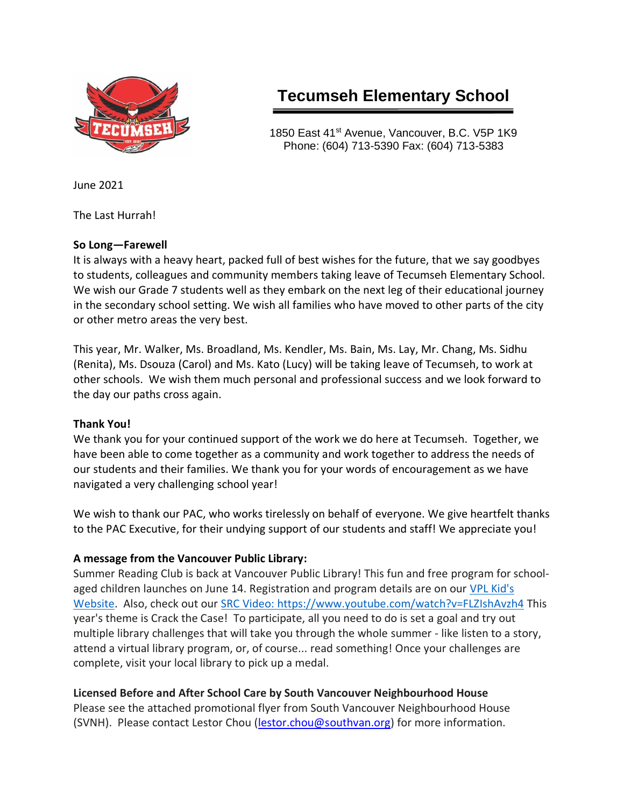

# **Tecumseh Elementary School**

1850 East 41<sup>st</sup> Avenue, Vancouver, B.C. V5P 1K9 Phone: (604) 713-5390 Fax: (604) 713-5383

June 2021

The Last Hurrah!

#### **So Long—Farewell**

It is always with a heavy heart, packed full of best wishes for the future, that we say goodbyes to students, colleagues and community members taking leave of Tecumseh Elementary School. We wish our Grade 7 students well as they embark on the next leg of their educational journey in the secondary school setting. We wish all families who have moved to other parts of the city or other metro areas the very best.

This year, Mr. Walker, Ms. Broadland, Ms. Kendler, Ms. Bain, Ms. Lay, Mr. Chang, Ms. Sidhu (Renita), Ms. Dsouza (Carol) and Ms. Kato (Lucy) will be taking leave of Tecumseh, to work at other schools. We wish them much personal and professional success and we look forward to the day our paths cross again.

## **Thank You!**

We thank you for your continued support of the work we do here at Tecumseh. Together, we have been able to come together as a community and work together to address the needs of our students and their families. We thank you for your words of encouragement as we have navigated a very challenging school year!

We wish to thank our PAC, who works tirelessly on behalf of everyone. We give heartfelt thanks to the PAC Executive, for their undying support of our students and staff! We appreciate you!

## **A message from the Vancouver Public Library:**

Summer Reading Club is back at Vancouver Public Library! This fun and free program for schoolaged children launches on June 14. Registration and program details are on our [VPL Kid's](https://www.vpl.ca/kids)  [Website.](https://www.vpl.ca/kids) Also, check out our [SRC Video: https://www.youtube.com/watch?v=FLZIshAvzh4](https://www.youtube.com/watch?v=FLZIshAvzh4) This year's theme is Crack the Case! To participate, all you need to do is set a goal and try out multiple library challenges that will take you through the whole summer - like listen to a story, attend a virtual library program, or, of course... read something! Once your challenges are complete, visit your local library to pick up a medal.

## **Licensed Before and After School Care by South Vancouver Neighbourhood House**

Please see the attached promotional flyer from South Vancouver Neighbourhood House (SVNH). Please contact Lestor Chou [\(lestor.chou@southvan.org\)](mailto:lestor.chou@southvan.org) for more information.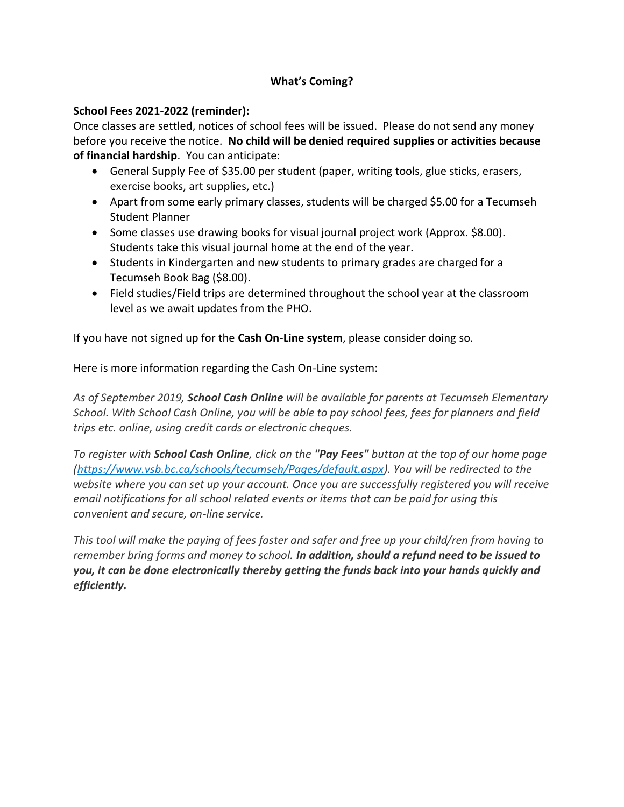## **What's Coming?**

## **School Fees 2021-2022 (reminder):**

Once classes are settled, notices of school fees will be issued. Please do not send any money before you receive the notice. **No child will be denied required supplies or activities because of financial hardship**. You can anticipate:

- General Supply Fee of \$35.00 per student (paper, writing tools, glue sticks, erasers, exercise books, art supplies, etc.)
- Apart from some early primary classes, students will be charged \$5.00 for a Tecumseh Student Planner
- Some classes use drawing books for visual journal project work (Approx. \$8.00). Students take this visual journal home at the end of the year.
- Students in Kindergarten and new students to primary grades are charged for a Tecumseh Book Bag (\$8.00).
- Field studies/Field trips are determined throughout the school year at the classroom level as we await updates from the PHO.

If you have not signed up for the **Cash On-Line system**, please consider doing so.

Here is more information regarding the Cash On-Line system:

*As of September 2019, School Cash Online will be available for parents at Tecumseh Elementary School. With School Cash Online, you will be able to pay school fees, fees for planners and field trips etc. online, using credit cards or electronic cheques.*

*To register with School Cash Online, click on the "Pay Fees" button at the top of our home page [\(https://www.vsb.bc.ca/schools/tecumseh/Pages/default.aspx\)](https://www.vsb.bc.ca/schools/tecumseh/Pages/default.aspx). You will be redirected to the website where you can set up your account. Once you are successfully registered you will receive email notifications for all school related events or items that can be paid for using this convenient and secure, on-line service.*

*This tool will make the paying of fees faster and safer and free up your child/ren from having to remember bring forms and money to school. In addition, should a refund need to be issued to you, it can be done electronically thereby getting the funds back into your hands quickly and efficiently.*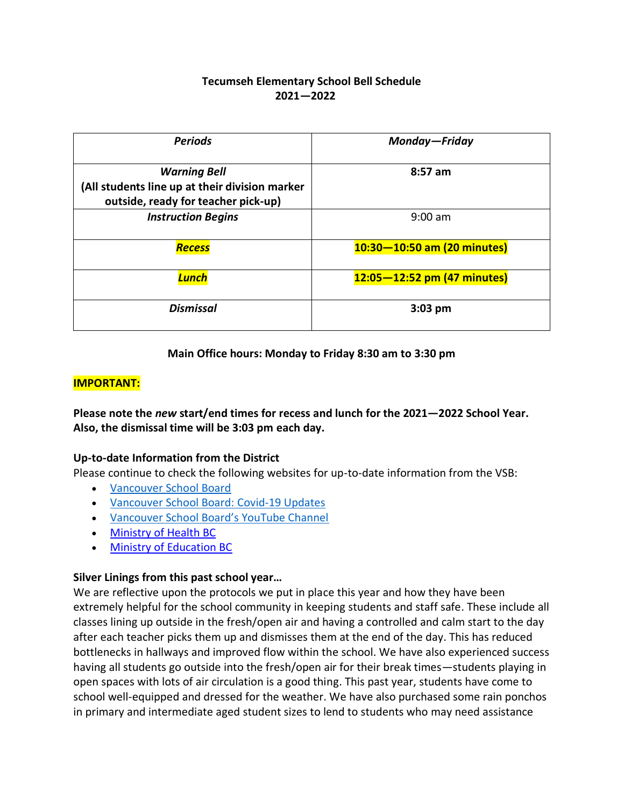## **Tecumseh Elementary School Bell Schedule 2021—2022**

| <b>Periods</b>                                                                                               | Monday-Friday               |
|--------------------------------------------------------------------------------------------------------------|-----------------------------|
| <b>Warning Bell</b><br>(All students line up at their division marker<br>outside, ready for teacher pick-up) | $8:57$ am                   |
| <b>Instruction Begins</b>                                                                                    | $9:00$ am                   |
| <b>Recess</b>                                                                                                | 10:30-10:50 am (20 minutes) |
| <u>Lunch</u>                                                                                                 | 12:05-12:52 pm (47 minutes) |
| <b>Dismissal</b>                                                                                             | $3:03$ pm                   |

#### **Main Office hours: Monday to Friday 8:30 am to 3:30 pm**

#### **IMPORTANT:**

#### **Please note the** *new* **start/end times for recess and lunch for the 2021—2022 School Year. Also, the dismissal time will be 3:03 pm each day.**

#### **Up-to-date Information from the District**

Please continue to check the following websites for up-to-date information from the VSB:

- [Vancouver School Board](http://www.vsb.bc.ca/)
- [Vancouver School Board: Covid-19 Updates](https://www.vsb.bc.ca/News/Pages/COVID-19-Updates.aspx)
- [Vancouver School Board's YouTube Channel](https://www.youtube.com/user/VanSchoolBoard)
- [Ministry of Health BC](https://www2.gov.bc.ca/gov/content/governments/organizational-structure/ministries-organizations/ministries/health)
- [Ministry of Education BC](https://www2.gov.bc.ca/gov/content/governments/organizational-structure/ministries-organizations/ministries/education)

#### **Silver Linings from this past school year…**

We are reflective upon the protocols we put in place this year and how they have been extremely helpful for the school community in keeping students and staff safe. These include all classes lining up outside in the fresh/open air and having a controlled and calm start to the day after each teacher picks them up and dismisses them at the end of the day. This has reduced bottlenecks in hallways and improved flow within the school. We have also experienced success having all students go outside into the fresh/open air for their break times—students playing in open spaces with lots of air circulation is a good thing. This past year, students have come to school well-equipped and dressed for the weather. We have also purchased some rain ponchos in primary and intermediate aged student sizes to lend to students who may need assistance